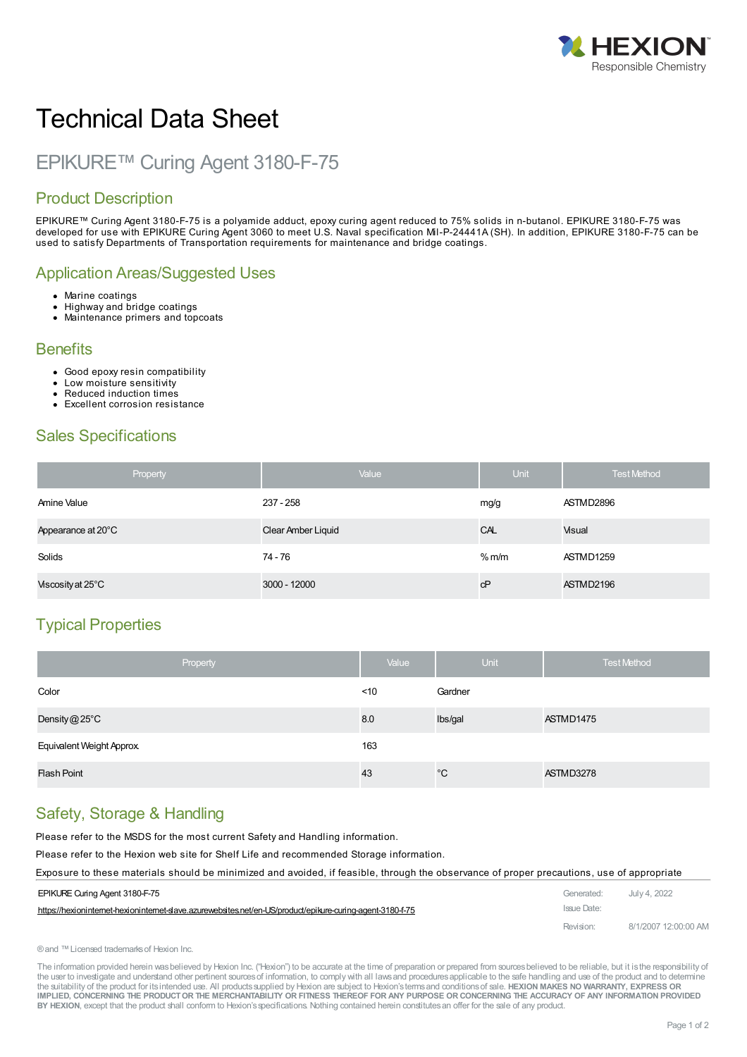

# Technical Data Sheet

# EPIKURE™ Curing Agent 3180-F-75

## Product Description

EPIKURE™ Curing Agent 3180-F-75 is a polyamide adduct, epoxy curing agent reduced to 75% solids in n-butanol. EPIKURE 3180-F-75 was developed for use with EPIKURE Curing Agent 3060 to meet U.S. Naval specification Mil-P-24441A (SH). In addition, EPIKURE 3180-F-75 can be used to satisfy Departments of Transportation requirements for maintenance and bridge coatings.

#### Application Areas/Suggested Uses

- Marine coatings
- Highway and bridge coatings
- Maintenance primers and topcoats

#### **Benefits**

- Good epoxy resin compatibility
- $\ddot{\phantom{a}}$ Low moisture sensitivity
- Reduced induction times
- $\mathbf{r}$ Excellent corrosion resistance

#### Sales Specifications

| Property           | Value              | Unit              | <b>Test Method</b> |
|--------------------|--------------------|-------------------|--------------------|
| Amine Value        | 237 - 258          | mg/g              | ASTMD2896          |
| Appearance at 20°C | Clear Amber Liquid | CAL               | Visual             |
| Solids             | 74 - 76            | % <sub>m</sub> /m | ASTMD1259          |
| Viscosity at 25°C  | 3000 - 12000       | сP                | ASTMD2196          |

# Typical Properties

| Property                  | Value  | <b>Unit</b>  | <b>Test Method</b> |
|---------------------------|--------|--------------|--------------------|
| Color                     | $<$ 10 | Gardner      |                    |
| Density $@25^{\circ}$ C   | 8.0    | Ibs/gal      | ASTMD1475          |
| Equivalent Weight Approx. | 163    |              |                    |
| <b>Flash Point</b>        | 43     | $^{\circ}$ C | ASTMD3278          |

#### Safety, Storage & Handling

Please refer to the MSDS for the most current Safety and Handling information.

Please refer to the Hexion web site for Shelf Life and recommended Storage information.

#### Exposure to these materials should be [minimized](https://hexioninternet-hexioninternet-slave.azurewebsites.net/en-US/product/epikure-curing-agent-3180-f-75) and avoided, if feasible, through the observance of proper precautions, use of appropriate

| EPIKURE Curing Agent 3180-F-75                                                                             | Generated:  | July 4, 2022         |
|------------------------------------------------------------------------------------------------------------|-------------|----------------------|
| https://hexioninternet-hexioninternet-slave.azurewebsites.net/en-US/product/epikure-curing-agent-3180-f-75 | Issue Date: |                      |
|                                                                                                            | Revision:   | 8/1/2007 12:00:00 AM |

```
®and ™Licensed trademarksof Hexion Inc.
```
The information provided herein was believed by Hexion Inc. ("Hexion") to be accurate at the time of preparation or prepared from sources believed to be reliable, but it is the responsibility of the user to investigate and understand other pertinent sources of information, to comply with all laws and procedures applicable to the safe handling and use of the product and to determine the suitability of the product for itsintended use. All productssupplied by Hexion are subject to Hexion'stermsand conditionsof sale. **HEXION MAKES NO WARRANTY, EXPRESS OR** IMPLIED, CONCERNING THE PRODUCT OR THE MERCHANTABILITY OR FITNESS THEREOF FOR ANY PURPOSE OR CONCERNING THE ACCURACY OF ANY INFORMATION PROVIDED **BY HEXION**, except that the product shall conform to Hexion'sspecifications. Nothing contained herein constitutesan offer for the sale of any product.